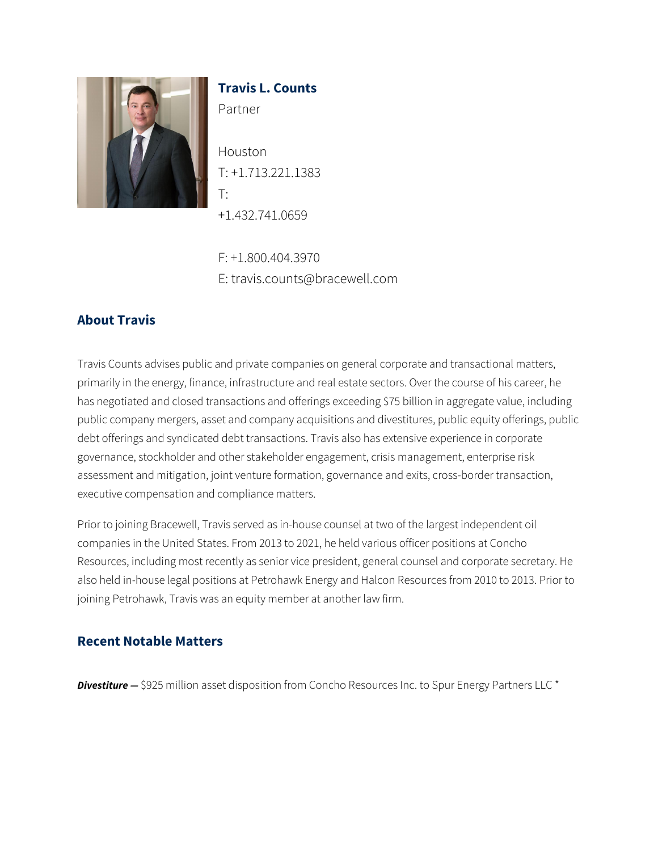

# **Travis L. Counts** Partner

Houston T: +1.713.221.1383 T: +1.432.741.0659

F: +1.800.404.3970 E: travis.counts@bracewell.com

## **About Travis**

Travis Counts advises public and private companies on general corporate and transactional matters, primarily in the energy, finance, infrastructure and real estate sectors. Over the course of his career, he has negotiated and closed transactions and offerings exceeding \$75 billion in aggregate value, including public company mergers, asset and company acquisitions and divestitures, public equity offerings, public debt offerings and syndicated debt transactions. Travis also has extensive experience in corporate governance, stockholder and other stakeholder engagement, crisis management, enterprise risk assessment and mitigation, joint venture formation, governance and exits, cross-border transaction, executive compensation and compliance matters.

Prior to joining Bracewell, Travis served as in-house counsel at two of the largest independent oil companies in the United States. From 2013 to 2021, he held various officer positions at Concho Resources, including most recently as senior vice president, general counsel and corporate secretary. He also held in-house legal positions at Petrohawk Energy and Halcon Resources from 2010 to 2013. Prior to joining Petrohawk, Travis was an equity member at another law firm.

### **Recent Notable Matters**

*Divestiture —* \$925 million asset disposition from Concho Resources Inc. to Spur Energy Partners LLC \*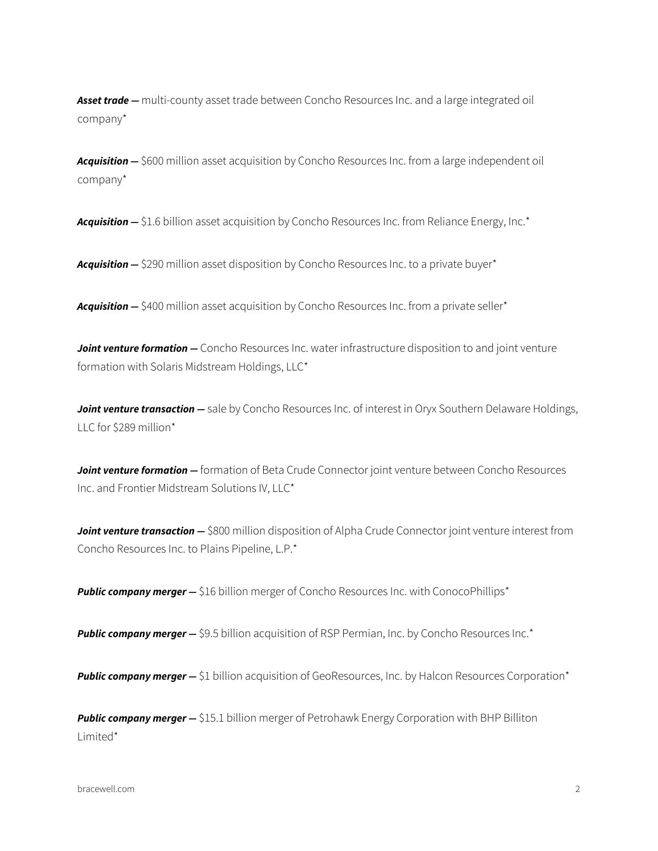*Asset trade —* multi-county asset trade between Concho Resources Inc. and a large integrated oil company\*

Acquisition – \$600 million asset acquisition by Concho Resources Inc. from a large independent oil company\*

Acquisition - \$1.6 billion asset acquisition by Concho Resources Inc. from Reliance Energy, Inc.<sup>\*</sup>

Acquisition – \$290 million asset disposition by Concho Resources Inc. to a private buyer<sup>\*</sup>

Acquisition – \$400 million asset acquisition by Concho Resources Inc. from a private seller<sup>\*</sup>

**Joint venture formation -** Concho Resources Inc. water infrastructure disposition to and joint venture formation with Solaris Midstream Holdings, LLC\*

Joint venture transaction - sale by Concho Resources Inc. of interest in Oryx Southern Delaware Holdings, LLC for \$289 million\*

**Joint venture formation -** formation of Beta Crude Connector joint venture between Concho Resources Inc. and Frontier Midstream Solutions IV, LLC\*

**Joint venture transaction –** \$800 million disposition of Alpha Crude Connector joint venture interest from Concho Resources Inc. to Plains Pipeline, L.P.\*

**Public company merger –** \$16 billion merger of Concho Resources Inc. with ConocoPhillips<sup>\*</sup>

**Public company merger –** \$9.5 billion acquisition of RSP Permian, Inc. by Concho Resources Inc.\*

*Public company merger —* \$1 billion acquisition of GeoResources, Inc. by Halcon Resources Corporation\*

**Public company merger -** \$15.1 billion merger of Petrohawk Energy Corporation with BHP Billiton Limited\*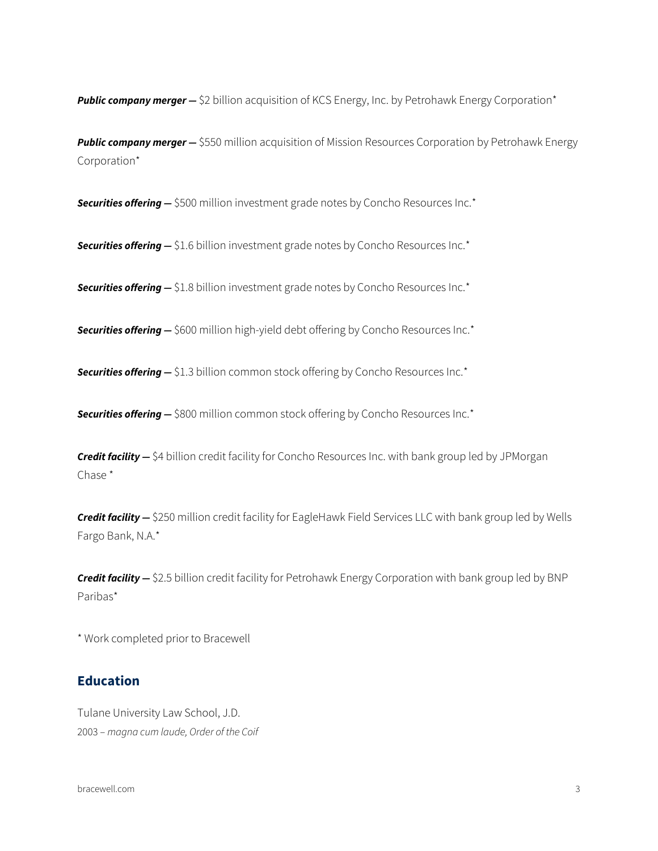**Public company merger -** \$2 billion acquisition of KCS Energy, Inc. by Petrohawk Energy Corporation\*

*Public company merger —* \$550 million acquisition of Mission Resources Corporation by Petrohawk Energy Corporation\*

*Securities offering —* \$500 million investment grade notes by Concho Resources Inc.\*

*Securities offering —* \$1.6 billion investment grade notes by Concho Resources Inc.\*

*Securities offering —* \$1.8 billion investment grade notes by Concho Resources Inc.\*

**Securities offering -** \$600 million high-yield debt offering by Concho Resources Inc.\*

**Securities offering -** \$1.3 billion common stock offering by Concho Resources Inc.<sup>\*</sup>

**Securities offering -** \$800 million common stock offering by Concho Resources Inc.<sup>\*</sup>

*Credit facility —* \$4 billion credit facility for Concho Resources Inc. with bank group led by JPMorgan Chase \*

*Credit facility —* \$250 million credit facility for EagleHawk Field Services LLC with bank group led by Wells Fargo Bank, N.A.\*

*Credit facility —* \$2.5 billion credit facility for Petrohawk Energy Corporation with bank group led by BNP Paribas\*

\* Work completed prior to Bracewell

#### **Education**

Tulane University Law School, J.D. 2003 – *magna cum laude, Order of the Coif*